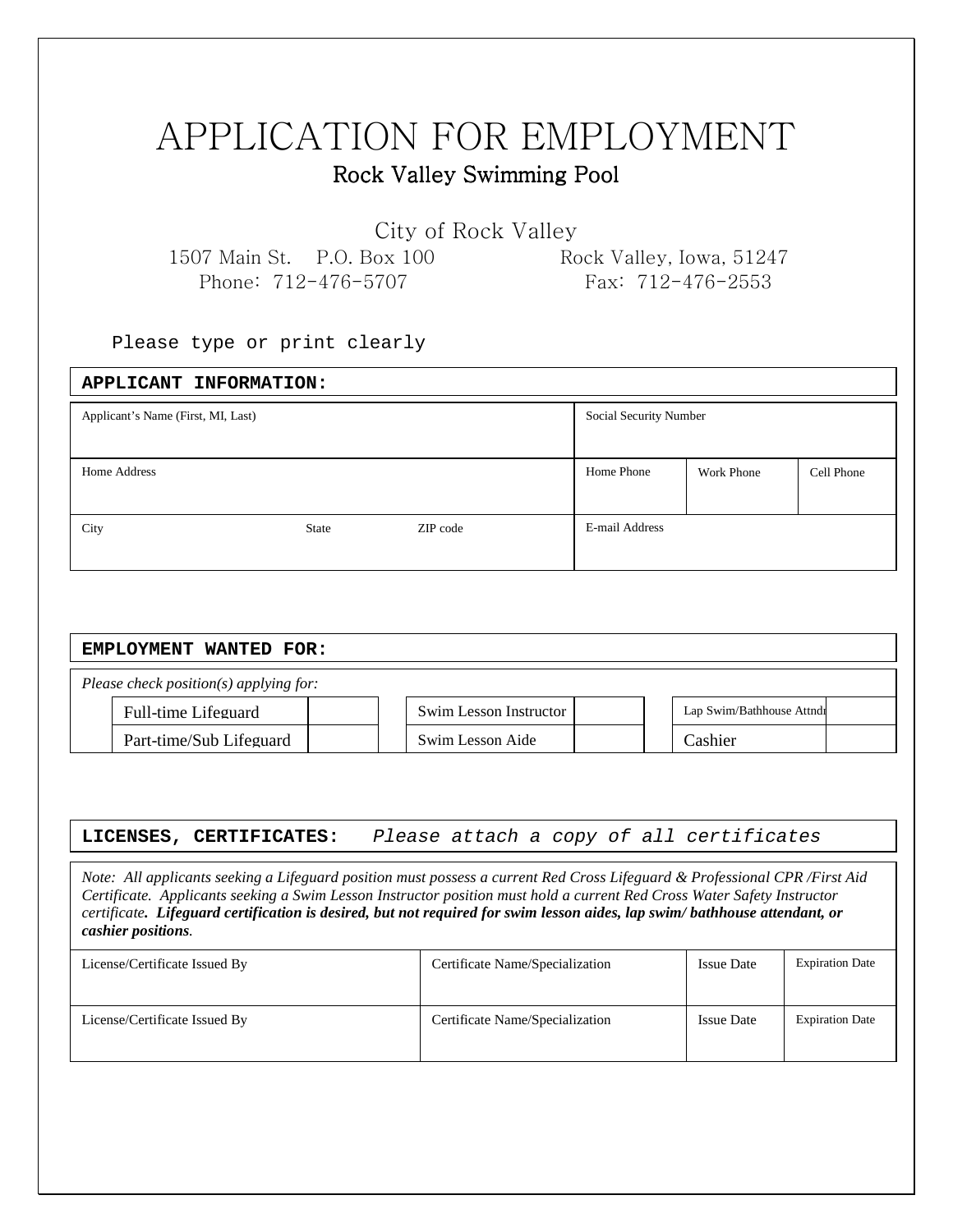# APPLICATION FOR EMPLOYMENT

## Rock Valley Swimming Pool

City of Rock Valley

1507 Main St. P.O. Box 100 Rock Valley, Iowa, 51247 Phone: 712-476-5707 Fax: 712-476-2553

Please type or print clearly

| APPLICANT INFORMATION:             |       |                        |                          |            |  |  |
|------------------------------------|-------|------------------------|--------------------------|------------|--|--|
| Applicant's Name (First, MI, Last) |       | Social Security Number |                          |            |  |  |
|                                    |       |                        |                          |            |  |  |
| Home Address                       |       |                        | Home Phone<br>Work Phone | Cell Phone |  |  |
| City                               | State | ZIP code               | E-mail Address           |            |  |  |

| EMPLOYMENT WANTED FOR: |                                            |  |                        |  |  |                           |  |
|------------------------|--------------------------------------------|--|------------------------|--|--|---------------------------|--|
|                        | Please check position( $s$ ) applying for: |  |                        |  |  |                           |  |
|                        | Full-time Lifeguard                        |  | Swim Lesson Instructor |  |  | Lap Swim/Bathhouse Attndr |  |
|                        | Part-time/Sub Lifeguard                    |  | Swim Lesson Aide       |  |  | Cashier                   |  |

#### **LICENSES, CERTIFICATES:** Please attach a copy of all certificates

*Note: All applicants seeking a Lifeguard position must possess a current Red Cross Lifeguard & Professional CPR /First Aid Certificate. Applicants seeking a Swim Lesson Instructor position must hold a current Red Cross Water Safety Instructor certificate. Lifeguard certification is desired, but not required for swim lesson aides, lap swim/ bathhouse attendant, or cashier positions.* 

| License/Certificate Issued By | Certificate Name/Specialization | <b>Issue Date</b> | <b>Expiration Date</b> |
|-------------------------------|---------------------------------|-------------------|------------------------|
| License/Certificate Issued By | Certificate Name/Specialization | <b>Issue Date</b> | <b>Expiration Date</b> |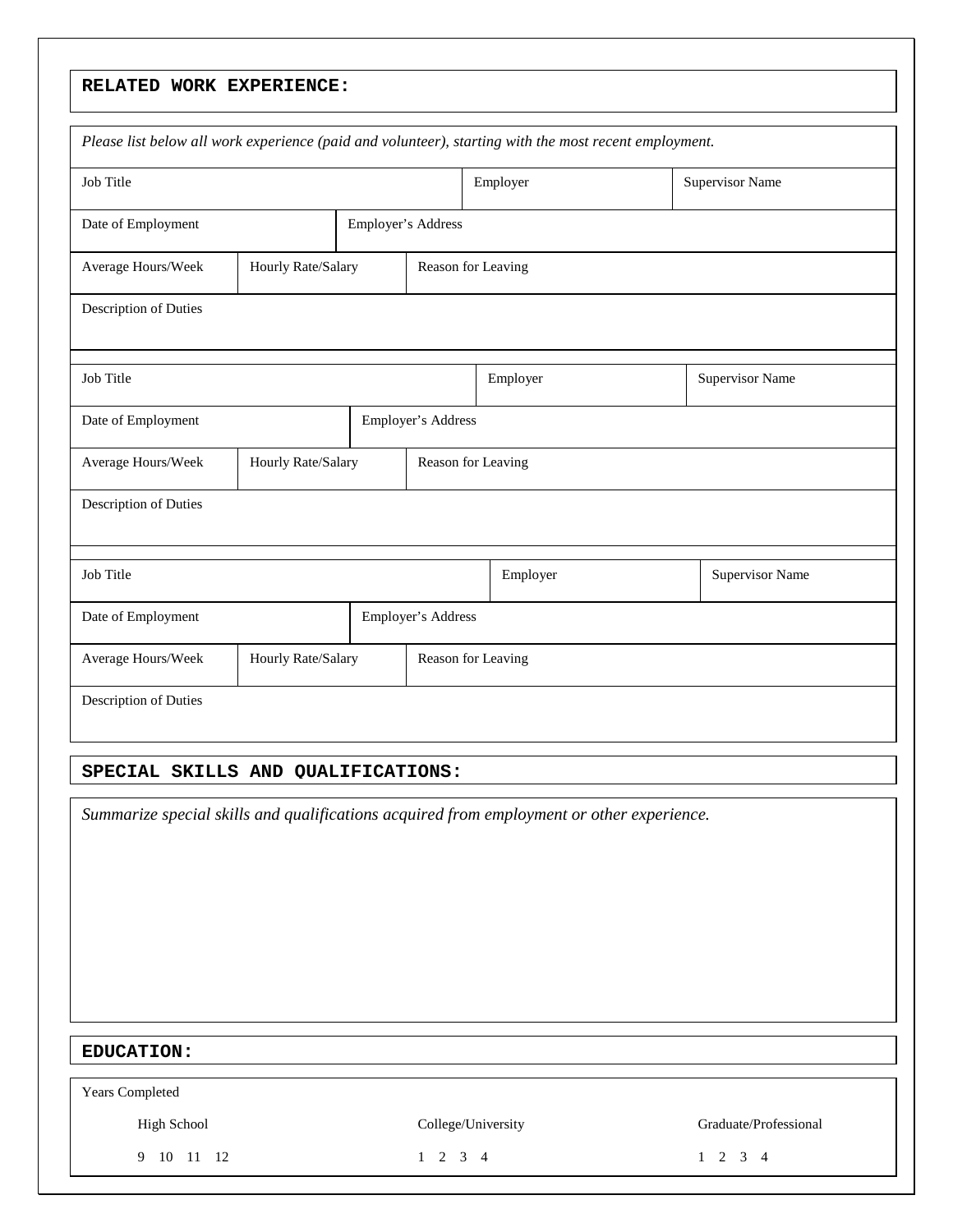#### **RELATED WORK EXPERIENCE:**

|                                          | Job Title          |                    |                    | Employer<br><b>Supervisor Name</b> |  |                        |  |  |
|------------------------------------------|--------------------|--------------------|--------------------|------------------------------------|--|------------------------|--|--|
| Date of Employment                       |                    | Employer's Address |                    |                                    |  |                        |  |  |
| Average Hours/Week<br>Hourly Rate/Salary |                    |                    | Reason for Leaving |                                    |  |                        |  |  |
| Description of Duties                    |                    |                    |                    |                                    |  |                        |  |  |
| Job Title                                |                    |                    | Employer           |                                    |  | <b>Supervisor Name</b> |  |  |
| Employer's Address<br>Date of Employment |                    |                    |                    |                                    |  |                        |  |  |
| Average Hours/Week                       | Hourly Rate/Salary |                    |                    | Reason for Leaving                 |  |                        |  |  |
| Description of Duties                    |                    |                    |                    |                                    |  |                        |  |  |
| Job Title                                |                    |                    |                    | Employer                           |  | <b>Supervisor Name</b> |  |  |
| Date of Employment                       |                    |                    | Employer's Address |                                    |  |                        |  |  |
| Hourly Rate/Salary<br>Average Hours/Week |                    |                    | Reason for Leaving |                                    |  |                        |  |  |

#### **SPECIAL SKILLS AND QUALIFICATIONS:**

*Summarize special skills and qualifications acquired from employment or other experience.* 

#### **EDUCATION:**

Years Completed

9 10 11 12 1 2 3 4 1 2 3 4

High School College/University Graduate/Professional